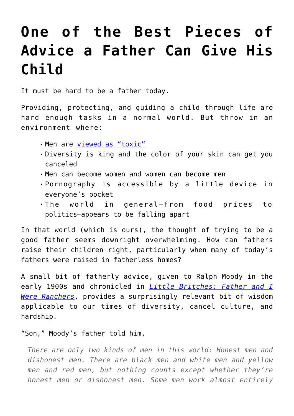## **[One of the Best Pieces of](https://intellectualtakeout.org/2022/06/one-of-the-best-pieces-of-advice-a-father-can-give-his-child/) [Advice a Father Can Give His](https://intellectualtakeout.org/2022/06/one-of-the-best-pieces-of-advice-a-father-can-give-his-child/) [Child](https://intellectualtakeout.org/2022/06/one-of-the-best-pieces-of-advice-a-father-can-give-his-child/)**

It must be hard to be a father today.

Providing, protecting, and guiding a child through life are hard enough tasks in a normal world. But throw in an environment where:

- Men are [viewed as "toxic"](https://intellectualtakeout.org/2019/02/what-is-toxic-masculinity/)
- Diversity is king and the color of your skin can get you canceled
- Men can become women and women can become men
- Pornography is accessible by a little device in everyone's pocket
- The world in general—from food prices to politics—appears to be falling apart

In that world (which is ours), the thought of trying to be a good father seems downright overwhelming. How can fathers raise their children right, particularly when many of today's fathers were raised in fatherless homes?

A small bit of fatherly advice, given to Ralph Moody in the early 1900s and chronicled in *[Little Britches: Father and I](https://books.google.com/books?id=HdSl--wN01YC&printsec=frontcover#v=onepage&q&f=false) [Were Ranchers](https://books.google.com/books?id=HdSl--wN01YC&printsec=frontcover#v=onepage&q&f=false)*, provides a surprisingly relevant bit of wisdom applicable to our times of diversity, cancel culture, and hardship.

"Son," Moody's father told him,

*There are only two kinds of men in this world: Honest men and dishonest men. There are black men and white men and yellow men and red men, but nothing counts except whether they're honest men or dishonest men. Some men work almost entirely*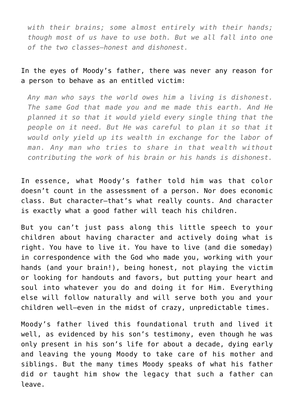*with their brains; some almost entirely with their hands; though most of us have to use both. But we all fall into one of the two classes—honest and dishonest.*

## In the eyes of Moody's father, there was never any reason for a person to behave as an entitled victim:

*Any man who says the world owes him a living is dishonest. The same God that made you and me made this earth. And He planned it so that it would yield every single thing that the people on it need. But He was careful to plan it so that it would only yield up its wealth in exchange for the labor of man. Any man who tries to share in that wealth without contributing the work of his brain or his hands is dishonest.*

In essence, what Moody's father told him was that color doesn't count in the assessment of a person. Nor does economic class. But character—that's what really counts. And character is exactly what a good father will teach his children.

But you can't just pass along this little speech to your children about having character and actively doing what is right. You have to live it. You have to live (and die someday) in correspondence with the God who made you, working with your hands (and your brain!), being honest, not playing the victim or looking for handouts and favors, but putting your heart and soul into whatever you do and doing it for Him. Everything else will follow naturally and will serve both you and your children well—even in the midst of crazy, unpredictable times.

Moody's father lived this foundational truth and lived it well, as evidenced by his son's testimony, even though he was only present in his son's life for about a decade, dying early and leaving the young Moody to take care of his mother and siblings. But the many times Moody speaks of what his father did or taught him show the legacy that such a father can leave.